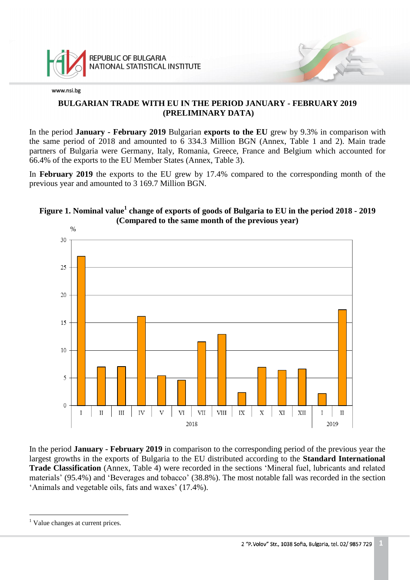

## **BULGARIAN TRADE WITH EU IN THE PERIOD JANUARY - FEBRUARY 2019 (PRELIMINARY DATA)**

In the period **January - February 2019** Bulgarian **exports to the EU** grew by 9.3% in comparison with the same period of 2018 and amounted to 6 334.3 Million BGN (Annex, Table 1 and 2). Main trade partners of Bulgaria were Germany, Italy, Romania, Greece, France and Belgium which accounted for 66.4% of the exports to the EU Member States (Annex, Table 3).

In **February 2019** the exports to the EU grew by 17.4% compared to the corresponding month of the previous year and amounted to 3 169.7 Million BGN.

# **Figure 1. Nominal value<sup>1</sup> change of exports of goods of Bulgaria to EU in the period 2018 - 2019 (Compared to the same month of the previous year)**



In the period **January - February 2019** in comparison to the corresponding period of the previous year the largest growths in the exports of Bulgaria to the EU distributed according to the **Standard International Trade Classification** (Annex, Table 4) were recorded in the sections 'Mineral fuel, lubricants and related materials' (95.4%) and 'Beverages and tobacco' (38.8%). The most notable fall was recorded in the section 'Animals and vegetable oils, fats and waxes' (17.4%).

a<br>B

<sup>&</sup>lt;sup>1</sup> Value changes at current prices.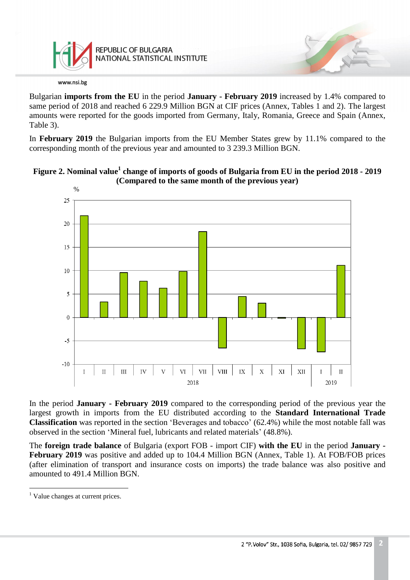

Bulgarian **imports from the EU** in the period **January - February 2019** increased by 1.4% compared to same period of 2018 and reached 6 229.9 Million BGN at CIF prices (Annex, Tables 1 and 2). The largest amounts were reported for the goods imported from Germany, Italy, Romania, Greece and Spain (Annex, Table 3).

In **February 2019** the Bulgarian imports from the EU Member States grew by 11.1% compared to the corresponding month of the previous year and amounted to 3 239.3 Million BGN.





In the period **January - February 2019** compared to the corresponding period of the previous year the largest growth in imports from the EU distributed according to the **Standard International Trade Classification** was reported in the section 'Beverages and tobacco' (62.4%) while the most notable fall was observed in the section 'Mineral fuel, lubricants and related materials' (48.8%).

The **foreign trade balance** of Bulgaria (export FOB - import CIF) **with the EU** in the period **January - February 2019** was positive and added up to 104.4 Million BGN (Annex, Table 1). At FOB/FOB prices (after elimination of transport and insurance costs on imports) the trade balance was also positive and amounted to 491.4 Million BGN.

a<br>B

<sup>&</sup>lt;sup>1</sup> Value changes at current prices.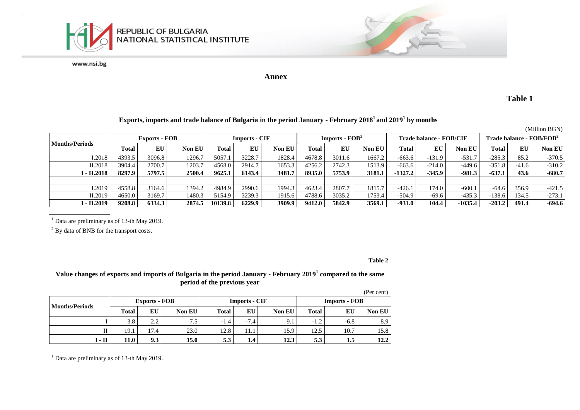

#### **Annex**

**Table 1**

#### **Exports, imports and trade balance of Bulgaria in the period January - February 2018<sup>1</sup>and 2019<sup>1</sup> by months**

|                       |                      |        |        |                      |        |        |                  |        |        |                         |          |           |                                                  |         | (Million BGN) |
|-----------------------|----------------------|--------|--------|----------------------|--------|--------|------------------|--------|--------|-------------------------|----------|-----------|--------------------------------------------------|---------|---------------|
|                       | <b>Exports - FOB</b> |        |        | <b>Imports - CIF</b> |        |        | $Imports - FOB2$ |        |        | Trade balance - FOB/CIF |          |           | $\bf{Trade\ balance}\cdot \bf{FOB} / \bf{FOB}^2$ |         |               |
| <b>Months/Periods</b> | Total                | EU     | Non EU | Total                | EU     | Non EU | Total            | EU     | Non EU | Total                   | EU       | Non EU    | Total                                            | EU      | <b>Non EU</b> |
| 1.2018                | 4393.5               | 3096.8 | 1296.7 | 5057.1               | 3228.7 | 1828.4 | 4678.8           | 3011.6 | 1667.2 | $-663.6$                | $-131.9$ | $-531.7$  | $-285.3$                                         | 85.2    | $-370.5$      |
| II.2018               | 3904.4               | 2700.7 | 1203.7 | 4568.0               | 2914.7 | 1653.3 | 4256.2           | 2742.3 | 1513.9 | $-663.6$                | $-214.0$ | $-449.6$  | $-351.8$                                         | $-41.6$ | $-310.2$      |
| I - II.2018           | 8297.9               | 5797.5 | 2500.4 | 9625.1               | 6143.4 | 3481.7 | 8935.0           | 5753.9 | 3181.1 | $-1327.2$               | $-345.9$ | $-981.3$  | $-637.1$                                         | 43.6    | $-680.7$      |
|                       |                      |        |        |                      |        |        |                  |        |        |                         |          |           |                                                  |         |               |
| 1.2019                | 4558.8               | 3164.6 | 1394.2 | 4984.9               | 2990.6 | 1994.3 | 4623.4           | 2807.7 | 1815.7 | $-426.1$                | 174.0    | $-600.1$  | $-64.6$                                          | 356.9   | $-421.5$      |
| II.2019               | 4650.0               | 3169.7 | 1480.3 | 5154.9               | 3239.3 | 1915.6 | 4788.6           | 3035.2 | 1753.4 | $-504.9$                | $-69.6$  | $-435.3$  | $-138.6$                                         | 134.5   | $-273.1$      |
| І - II.2019           | 9208.8               | 6334.3 | 2874.5 | 10139.8              | 6229.9 | 3909.9 | 9412.0           | 5842.9 | 3569.1 | $-931.0$                | 104.4    | $-1035.4$ | $-203.2$                                         | 491.4   | -694.6        |

 $1$  Data are preliminary as of 13-th May 2019.

<sup>2</sup> By data of BNB for the transport costs.

#### **Table 2**

#### **Value changes of exports and imports of Bulgaria in the period January - February 2019<sup>1</sup> compared to the same period of the previous year**

|                       |              |                      |               |              |                      |               |                      |        | (Per cent)    |  |
|-----------------------|--------------|----------------------|---------------|--------------|----------------------|---------------|----------------------|--------|---------------|--|
|                       |              | <b>Exports - FOB</b> |               |              | <b>Imports - CIF</b> |               | <b>Imports - FOB</b> |        |               |  |
| <b>Months/Periods</b> | <b>Total</b> | EU                   | <b>Non EU</b> | <b>Total</b> | EU                   | <b>Non EU</b> | <b>Total</b>         | EU     | <b>Non EU</b> |  |
|                       | 3.8          | 2.2                  | $7.5$ .       | $-1.4$       | $-7.4$               | 9.1           | $-1.2$               | $-6.8$ | 8.9           |  |
| $\mathbf{I}$          | 19.1         | 17.4                 | 23.0          | 12.8         | 11.1                 | 15.9          | 12.5                 | 10.7   | 15.8          |  |
| I - II                | 11.0         | 9.3                  | 15.0          | 5.3          | 1.4                  | 12.3          | 5.3                  | 1.5    | 12.2          |  |

 $1$  Data are preliminary as of 13-th May 2019.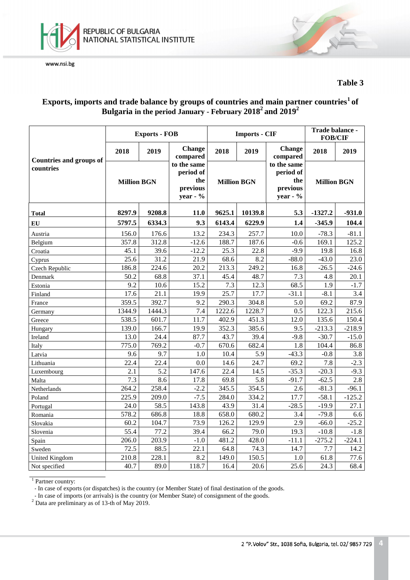



### **Table 3**

## **Exports, imports and trade balance by groups of countries and main partner countries<sup>1</sup>of Bulgaria in the period January - February 2018 2 and 2019 2**

|                                |                    | <b>Exports - FOB</b> |                                                            |                    | <b>Imports - CIF</b> | Trade balance -<br><b>FOB/CIF</b>                          |                    |          |
|--------------------------------|--------------------|----------------------|------------------------------------------------------------|--------------------|----------------------|------------------------------------------------------------|--------------------|----------|
| <b>Countries and groups of</b> | 2018               | 2019                 | <b>Change</b><br>compared                                  | 2018               | 2019                 | <b>Change</b><br>compared                                  | 2018               | 2019     |
| countries                      | <b>Million BGN</b> |                      | to the same<br>period of<br>the<br>previous<br>year - $\%$ | <b>Million BGN</b> |                      | to the same<br>period of<br>the<br>previous<br>year - $\%$ | <b>Million BGN</b> |          |
| <b>Total</b>                   | 8297.9             | 9208.8               | <b>11.0</b>                                                | 9625.1             | 10139.8              | 5.3                                                        | $-1327.2$          | $-931.0$ |
| EU                             | 5797.5             | 6334.3               | 9.3                                                        | 6143.4             | 6229.9               | 1.4                                                        | $-345.9$           | 104.4    |
| Austria                        | 156.0              | 176.6                | 13.2                                                       | 234.3              | 257.7                | 10.0                                                       | $-78.3$            | $-81.1$  |
| Belgium                        | 357.8              | 312.8                | $-12.6$                                                    | 188.7              | 187.6                | $-0.6$                                                     | 169.1              | 125.2    |
| Croatia                        | 45.1               | 39.6                 | $-12.2$                                                    | 25.3               | 22.8                 | $-9.9$                                                     | 19.8               | 16.8     |
| Cyprus                         | 25.6               | 31.2                 | 21.9                                                       | 68.6               | 8.2                  | $-88.0$                                                    | $-43.0$            | 23.0     |
| Czech Republic                 | 186.8              | 224.6                | 20.2                                                       | 213.3              | 249.2                | 16.8                                                       | $-26.5$            | $-24.6$  |
| Denmark                        | 50.2               | 68.8                 | 37.1                                                       | 45.4               | 48.7                 | 7.3                                                        | 4.8                | 20.1     |
| Estonia                        | 9.2                | 10.6                 | 15.2                                                       | 7.3                | 12.3                 | 68.5                                                       | 1.9                | $-1.7$   |
| Finland                        | 17.6               | 21.1                 | 19.9                                                       | 25.7               | 17.7                 | $-31.1$                                                    | $-8.1$             | 3.4      |
| France                         | 359.5              | 392.7                | 9.2                                                        | 290.3              | 304.8                | 5.0                                                        | 69.2               | 87.9     |
| Germany                        | 1344.9             | 1444.3               | 7.4                                                        | 1222.6             | 1228.7               | 0.5                                                        | 122.3              | 215.6    |
| Greece                         | 538.5              | 601.7                | 11.7                                                       | 402.9              | 451.3                | 12.0                                                       | 135.6              | 150.4    |
| Hungary                        | 139.0              | 166.7                | 19.9                                                       | 352.3              | 385.6                | 9.5                                                        | $-213.3$           | $-218.9$ |
| Ireland                        | 13.0               | 24.4                 | 87.7                                                       | 43.7               | 39.4                 | $-9.8$                                                     | $-30.7$            | $-15.0$  |
| Italy                          | 775.0              | 769.2                | $-0.7$                                                     | 670.6              | 682.4                | 1.8                                                        | 104.4              | 86.8     |
| Latvia                         | 9.6                | 9.7                  | 1.0                                                        | 10.4               | 5.9                  | $-43.3$                                                    | $-0.8$             | 3.8      |
| Lithuania                      | 22.4               | 22.4                 | 0.0                                                        | 14.6               | 24.7                 | 69.2                                                       | 7.8                | $-2.3$   |
| Luxembourg                     | 2.1                | 5.2                  | 147.6                                                      | 22.4               | 14.5                 | $-35.3$                                                    | $-20.3$            | $-9.3$   |
| Malta                          | 7.3                | 8.6                  | 17.8                                                       | 69.8               | 5.8                  | $-91.7$                                                    | $-62.5$            | 2.8      |
| Netherlands                    | 264.2              | 258.4                | $-2.2$                                                     | 345.5              | 354.5                | 2.6                                                        | $-81.3$            | $-96.1$  |
| Poland                         | 225.9              | 209.0                | $-7.5$                                                     | 284.0              | 334.2                | 17.7                                                       | $-58.1$            | $-125.2$ |
| Portugal                       | 24.0               | 58.5                 | 143.8                                                      | 43.9               | 31.4                 | $-28.5$                                                    | $-19.9$            | 27.1     |
| Romania                        | 578.2              | 686.8                | 18.8                                                       | 658.0              | 680.2                | 3.4                                                        | $-79.8$            | 6.6      |
| Slovakia                       | 60.2               | 104.7                | 73.9                                                       | 126.2              | 129.9                | 2.9                                                        | $-66.0$            | $-25.2$  |
| Slovenia                       | 55.4               | 77.2                 | 39.4                                                       | 66.2               | 79.0                 | 19.3                                                       | $-10.8$            | $-1.8$   |
| Spain                          | 206.0              | 203.9                | $-1.0$                                                     | 481.2              | 428.0                | $-11.1$                                                    | $-275.2$           | $-224.1$ |
| Sweden                         | 72.5               | 88.5                 | 22.1                                                       | 64.8               | 74.3                 | 14.7                                                       | 7.7                | 14.2     |
| <b>United Kingdom</b>          | 210.8              | 228.1                | 8.2                                                        | 149.0              | 150.5                | 1.0                                                        | 61.8               | 77.6     |
| Not specified                  | 40.7               | 89.0                 | 118.7                                                      | 16.4               | 20.6                 | 25.6                                                       | 24.3               | 68.4     |

<sup>1</sup> Partner country:

- In case of exports (or dispatches) is the country (or Member State) of final destination of the goods.

- In case of imports (or arrivals) is the country (or Member State) of consignment of the goods.

<sup>2</sup> Data are preliminary as of 13-th of May 2019.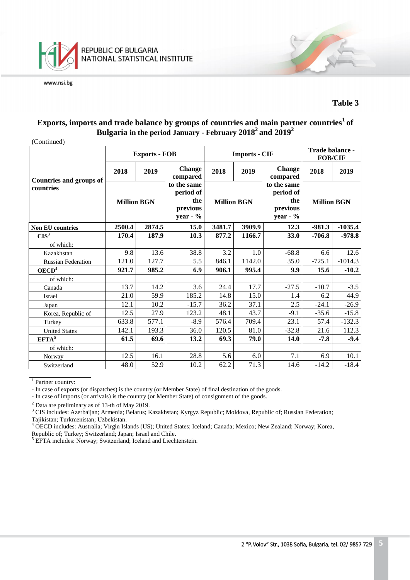

#### **Table 3**

## **Exports, imports and trade balance by groups of countries and main partner countries<sup>1</sup>of Bulgaria in the period January - February 2018 <sup>2</sup>and 2019 2**

(Continued)

| (Community)                                 |                    | <b>Exports - FOB</b> |                                                           |                    | <b>Imports - CIF</b> |                                                           | Trade balance -<br><b>FOB/CIF</b> |           |
|---------------------------------------------|--------------------|----------------------|-----------------------------------------------------------|--------------------|----------------------|-----------------------------------------------------------|-----------------------------------|-----------|
|                                             | 2018               | 2019                 | <b>Change</b><br>compared                                 | 2018               | 2019                 | <b>Change</b><br>compared                                 | 2018                              | 2019      |
| <b>Countries and groups of</b><br>countries | <b>Million BGN</b> |                      | to the same<br>period of<br>the<br>previous<br>year - $%$ | <b>Million BGN</b> |                      | to the same<br>period of<br>the<br>previous<br>year - $%$ | <b>Million BGN</b>                |           |
| <b>Non EU countries</b>                     | 2874.5<br>2500.4   |                      | 15.0                                                      | 3481.7             | 3909.9               | 12.3                                                      | $-981.3$                          | $-1035.4$ |
| CIS <sup>3</sup>                            | 170.4              | 187.9                | 10.3                                                      | 877.2              | 1166.7               | 33.0                                                      | $-706.8$                          | $-978.8$  |
| of which:                                   |                    |                      |                                                           |                    |                      |                                                           |                                   |           |
| Kazakhstan                                  | 9.8                | 13.6                 | 38.8                                                      | 3.2                | 1.0                  | $-68.8$                                                   | 6.6                               | 12.6      |
| <b>Russian Federation</b>                   | 121.0              | 127.7                | 5.5                                                       | 846.1              | 1142.0               | 35.0                                                      | $-725.1$                          | $-1014.3$ |
| OECD <sup>4</sup>                           | 921.7              | 985.2                | 6.9                                                       | 906.1              | 995.4                | 9.9                                                       | 15.6                              | $-10.2$   |
| of which:                                   |                    |                      |                                                           |                    |                      |                                                           |                                   |           |
| Canada                                      | 13.7               | 14.2                 | 3.6                                                       | 24.4               | 17.7                 | $-27.5$                                                   | $-10.7$                           | $-3.5$    |
| Israel                                      | 21.0               | 59.9                 | 185.2                                                     | 14.8               | 15.0                 | 1.4                                                       | 6.2                               | 44.9      |
| Japan                                       | 12.1               | 10.2                 | $-15.7$                                                   | 36.2               | 37.1                 | 2.5                                                       | $-24.1$                           | $-26.9$   |
| Korea, Republic of                          | 12.5               | 27.9                 | 123.2                                                     | 48.1               | 43.7                 | $-9.1$                                                    | $-35.6$                           | $-15.8$   |
| Turkey                                      | 633.8              | 577.1                | $-8.9$                                                    | 576.4              | 709.4                | 23.1                                                      | 57.4                              | $-132.3$  |
| <b>United States</b>                        | 142.1              | 193.3                | 36.0                                                      | 120.5              | 81.0                 | $-32.8$                                                   | 21.6                              | 112.3     |
| $EFTA^5$                                    | 61.5               | 69.6                 | 13.2                                                      | 69.3               | 79.0                 | 14.0                                                      | $-7.8$                            | $-9.4$    |
| of which:                                   |                    |                      |                                                           |                    |                      |                                                           |                                   |           |
| Norway                                      | 12.5               | 16.1                 | 28.8                                                      | 5.6                | 6.0                  | 7.1                                                       | 6.9                               | 10.1      |
| Switzerland                                 | 48.0               | 52.9                 | 10.2                                                      | 62.2               | 71.3                 | 14.6                                                      | $-14.2$                           | $-18.4$   |

<sup>1</sup> Partner country:

<sup>2</sup> Data are preliminary as of 13-th of May 2019.

<sup>-</sup> In case of exports (or dispatches) is the country (or Member State) of final destination of the goods.

<sup>-</sup> In case of imports (or arrivals) is the country (or Member State) of consignment of the goods.

<sup>&</sup>lt;sup>3</sup> CIS includes: Azerbaijan; Armenia; Belarus; Kazakhstan; Kyrgyz Republic; Moldova, Republic of; Russian Federation; Tajikistan; Turkmenistan; Uzbekistan.

<sup>&</sup>lt;sup>4</sup> OECD includes: Australia; Virgin Islands (US); United States; Iceland; Canada; Mexico; New Zealand; Norway; Korea, Republic of; Turkey; Switzerland; Japan; Israel and Chile.

<sup>&</sup>lt;sup>5</sup> EFTA includes: Norway; Switzerland; Iceland and Liechtenstein.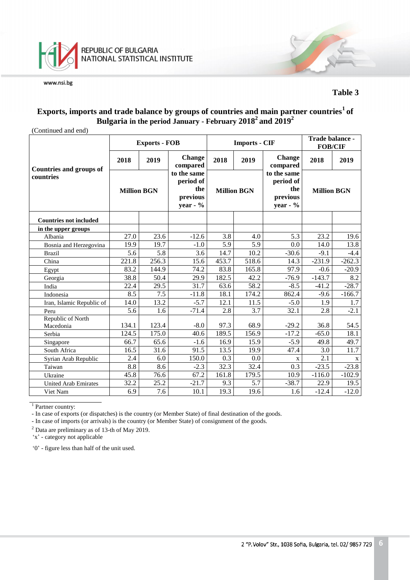

#### **Table 3**

## **Exports, imports and trade balance by groups of countries and main partner countries<sup>1</sup>of Bulgaria in the period January - February 2018 <sup>2</sup>and 2019 2**

(Continued and end)

|                                |                    | <b>Exports - FOB</b> |                                                            |                    | <b>Imports - CIF</b> | Trade balance -<br><b>FOB/CIF</b>                          |                    |          |
|--------------------------------|--------------------|----------------------|------------------------------------------------------------|--------------------|----------------------|------------------------------------------------------------|--------------------|----------|
| <b>Countries and groups of</b> | 2018               | 2019                 | <b>Change</b><br>compared                                  | 2018               | 2019                 | <b>Change</b><br>compared                                  | 2018               | 2019     |
| countries                      | <b>Million BGN</b> |                      | to the same<br>period of<br>the<br>previous<br>year - $\%$ | <b>Million BGN</b> |                      | to the same<br>period of<br>the<br>previous<br>year - $\%$ | <b>Million BGN</b> |          |
| <b>Countries not included</b>  |                    |                      |                                                            |                    |                      |                                                            |                    |          |
| in the upper groups            |                    |                      |                                                            |                    |                      |                                                            |                    |          |
| Albania                        | 27.0               | 23.6                 | $-12.6$                                                    | 3.8                | 4.0                  | 5.3                                                        | 23.2               | 19.6     |
| Bosnia and Herzegovina         | 19.9               | 19.7                 | $-1.0$                                                     | 5.9                | 5.9                  | 0.0                                                        | 14.0               | 13.8     |
| <b>Brazil</b>                  | 5.6                | $\overline{5.8}$     | 3.6                                                        | 14.7               | 10.2                 | $-30.6$                                                    | $-9.1$             | $-4.4$   |
| China                          | 221.8              | 256.3                | 15.6                                                       | 453.7              | 518.6                | 14.3                                                       | $-231.9$           | $-262.3$ |
| Egypt                          | 83.2               | 144.9                | 74.2                                                       | 83.8               | 165.8                | 97.9                                                       | $-0.6$             | $-20.9$  |
| Georgia                        | 38.8               | 50.4                 | 29.9                                                       | 182.5              | 42.2                 | $-76.9$                                                    | $-143.7$           | 8.2      |
| India                          | 22.4               | 29.5                 | 31.7                                                       | 63.6               | 58.2                 | $-8.5$                                                     | $-41.2$            | $-28.7$  |
| Indonesia                      | 8.5                | 7.5                  | $-11.8$                                                    | 18.1               | 174.2                | 862.4                                                      | $-9.6$             | $-166.7$ |
| Iran, Islamic Republic of      | 14.0               | 13.2                 | $-5.7$                                                     | 12.1               | 11.5                 | $-5.0$                                                     | 1.9                | 1.7      |
| Peru                           | 5.6                | 1.6                  | $-71.4$                                                    | 2.8                | 3.7                  | 32.1                                                       | 2.8                | $-2.1$   |
| Republic of North              |                    |                      |                                                            |                    |                      |                                                            |                    |          |
| Macedonia                      | 134.1              | 123.4                | $-8.0$                                                     | 97.3               | 68.9                 | $-29.2$                                                    | 36.8               | 54.5     |
| Serbia                         | 124.5              | 175.0                | 40.6                                                       | 189.5              | 156.9                | $-17.2$                                                    | $-65.0$            | 18.1     |
| Singapore                      | 66.7               | 65.6                 | $-1.6$                                                     | 16.9               | 15.9                 | $-5.9$                                                     | 49.8               | 49.7     |
| South Africa                   | 16.5               | 31.6                 | 91.5                                                       | 13.5               | 19.9                 | 47.4                                                       | 3.0                | 11.7     |
| Syrian Arab Republic           | 2.4                | 6.0                  | 150.0                                                      | 0.3                | 0.0                  | $\mathbf{X}$                                               | 2.1                | X        |
| Taiwan                         | 8.8                | 8.6                  | $-2.3$                                                     | 32.3               | 32.4                 | 0.3                                                        | $-23.5$            | $-23.8$  |
| Ukraine                        | 45.8               | 76.6                 | 67.2                                                       | 161.8              | 179.5                | 10.9                                                       | $-116.0$           | $-102.9$ |
| <b>United Arab Emirates</b>    | 32.2               | 25.2                 | $-21.7$                                                    | 9.3                | 5.7                  | $-38.7$                                                    | 22.9               | 19.5     |
| Viet Nam                       | 6.9                | 7.6                  | 10.1                                                       | 19.3               | 19.6                 | 1.6                                                        | $-12.4$            | $-12.0$  |

<sup>1</sup> Partner country:

- In case of exports (or dispatches) is the country (or Member State) of final destination of the goods.

- In case of imports (or arrivals) is the country (or Member State) of consignment of the goods.

<sup>2</sup> Data are preliminary as of 13-th of May 2019.

'x' - category not applicable

'0' - figure less than half of the unit used.